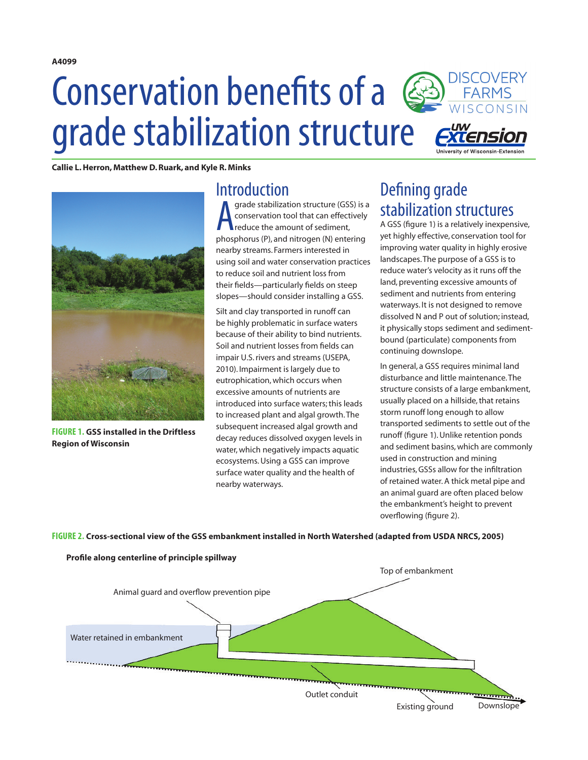# **DISCOVERY** Conservation benefits of a WISCONSIN grade stabilization structure

**Callie L. Herron, Matthew D. Ruark, and Kyle R. Minks**



**FIGURE 1. GSS installed in the Driftless Region of Wisconsin**

#### **Introduction**

**A** grade stabilization structure (GSS) is a<br>conservation tool that can effectively<br>reduce the amount of sediment,<br>phosphorus (P), and nitrogen (N) entering grade stabilization structure (GSS) is a conservation tool that can effectively reduce the amount of sediment, nearby streams. Farmers interested in using soil and water conservation practices to reduce soil and nutrient loss from their fields—particularly fields on steep slopes—should consider installing a GSS.

Silt and clay transported in runoff can be highly problematic in surface waters because of their ability to bind nutrients. Soil and nutrient losses from fields can impair U.S. rivers and streams (USEPA, 2010). Impairment is largely due to eutrophication, which occurs when excessive amounts of nutrients are introduced into surface waters; this leads to increased plant and algal growth. The subsequent increased algal growth and decay reduces dissolved oxygen levels in water, which negatively impacts aquatic ecosystems. Using a GSS can improve surface water quality and the health of nearby waterways.

## Defining grade stabilization structures

A GSS (figure 1) is a relatively inexpensive, yet highly effective, conservation tool for improving water quality in highly erosive landscapes. The purpose of a GSS is to reduce water's velocity as it runs off the land, preventing excessive amounts of sediment and nutrients from entering waterways. It is not designed to remove dissolved N and P out of solution; instead, it physically stops sediment and sedimentbound (particulate) components from continuing downslope.

In general, a GSS requires minimal land disturbance and little maintenance. The structure consists of a large embankment, usually placed on a hillside, that retains storm runoff long enough to allow transported sediments to settle out of the runoff (figure 1). Unlike retention ponds and sediment basins, which are commonly used in construction and mining industries, GSSs allow for the infiltration of retained water. A thick metal pipe and an animal guard are often placed below the embankment's height to prevent overflowing (figure 2).

**FIGURE 2. Cross-sectional view of the GSS embankment installed in North Watershed (adapted from USDA NRCS, 2005)**



**A4099**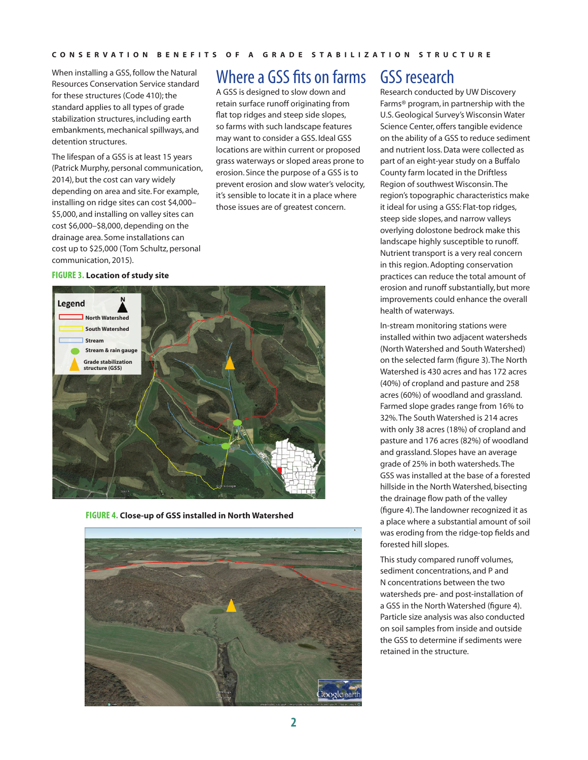When installing a GSS, follow the Natural Resources Conservation Service standard for these structures (Code 410); the standard applies to all types of grade stabilization structures, including earth embankments, mechanical spillways, and detention structures.

The lifespan of a GSS is at least 15 years (Patrick Murphy, personal communication, 2014), but the cost can vary widely depending on area and site. For example, installing on ridge sites can cost \$4,000– \$5,000, and installing on valley sites can cost \$6,000–\$8,000, depending on the drainage area. Some installations can cost up to \$25,000 (Tom Schultz, personal communication, 2015).

### Where a GSS fits on farms

A GSS is designed to slow down and retain surface runoff originating from flat top ridges and steep side slopes, so farms with such landscape features may want to consider a GSS. Ideal GSS locations are within current or proposed grass waterways or sloped areas prone to erosion. Since the purpose of a GSS is to prevent erosion and slow water's velocity, it's sensible to locate it in a place where those issues are of greatest concern.

#### **FIGURE 3. Location of study site**



**FIGURE 4. Close-up of GSS installed in North Watershed**



### GSS research

Research conducted by UW Discovery Farms® program, in partnership with the U.S. Geological Survey's Wisconsin Water Science Center, offers tangible evidence on the ability of a GSS to reduce sediment and nutrient loss. Data were collected as part of an eight-year study on a Buffalo County farm located in the Driftless Region of southwest Wisconsin. The region's topographic characteristics make it ideal for using a GSS: Flat-top ridges, steep side slopes, and narrow valleys overlying dolostone bedrock make this landscape highly susceptible to runoff. Nutrient transport is a very real concern in this region. Adopting conservation practices can reduce the total amount of erosion and runoff substantially, but more improvements could enhance the overall health of waterways.

In-stream monitoring stations were installed within two adjacent watersheds (North Watershed and South Watershed) on the selected farm (figure 3). The North Watershed is 430 acres and has 172 acres (40%) of cropland and pasture and 258 acres (60%) of woodland and grassland. Farmed slope grades range from 16% to 32%. The South Watershed is 214 acres with only 38 acres (18%) of cropland and pasture and 176 acres (82%) of woodland and grassland. Slopes have an average grade of 25% in both watersheds. The GSS was installed at the base of a forested hillside in the North Watershed, bisecting the drainage flow path of the valley (figure 4). The landowner recognized it as a place where a substantial amount of soil was eroding from the ridge-top fields and forested hill slopes.

This study compared runoff volumes, sediment concentrations, and P and N concentrations between the two watersheds pre- and post-installation of a GSS in the North Watershed (figure 4). Particle size analysis was also conducted on soil samples from inside and outside the GSS to determine if sediments were retained in the structure.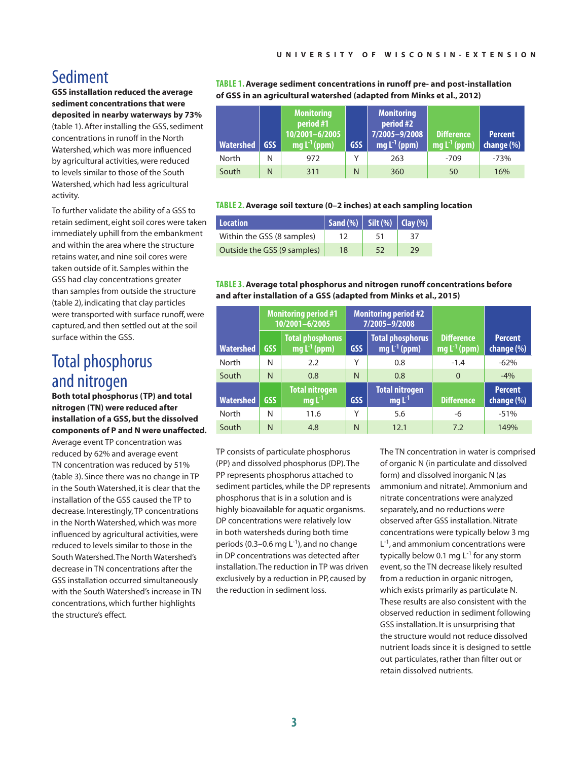### Sediment

**GSS installation reduced the average sediment concentrations that were deposited in nearby waterways by 73%**  (table 1). After installing the GSS, sediment concentrations in runoff in the North Watershed, which was more influenced by agricultural activities, were reduced to levels similar to those of the South Watershed, which had less agricultural activity.

To further validate the ability of a GSS to retain sediment, eight soil cores were taken immediately uphill from the embankment and within the area where the structure retains water, and nine soil cores were taken outside of it. Samples within the GSS had clay concentrations greater than samples from outside the structure (table 2), indicating that clay particles were transported with surface runoff, were captured, and then settled out at the soil surface within the GSS.

## Total phosphorus and nitrogen

**Both total phosphorus (TP) and total nitrogen (TN) were reduced after installation of a GSS, but the dissolved components of P and N were unaffected.** 

Average event TP concentration was reduced by 62% and average event TN concentration was reduced by 51% (table 3). Since there was no change in TP in the South Watershed, it is clear that the installation of the GSS caused the TP to decrease. Interestingly, TP concentrations in the North Watershed, which was more influenced by agricultural activities, were reduced to levels similar to those in the South Watershed. The North Watershed's decrease in TN concentrations after the GSS installation occurred simultaneously with the South Watershed's increase in TN concentrations, which further highlights the structure's effect.

**TABLE 1. Average sediment concentrations in runoff pre- and post-installation of GSS in an agricultural watershed (adapted from Minks et al., 2012)**

| Watershed | <b>GSS</b> | <b>Monitoring</b><br>period #1<br>10/2001-6/2005<br>$\mathsf{I}$ mg L <sup>-1</sup> (ppm) | <b>GSS</b> | <b>Monitoring</b><br>period #2<br>7/2005-9/2008<br>mg L <sup>-1</sup> (ppm) | Difference<br>mg $L^{-1}$ (ppm) | <b>Percent</b><br>change $(\%)$ |
|-----------|------------|-------------------------------------------------------------------------------------------|------------|-----------------------------------------------------------------------------|---------------------------------|---------------------------------|
| North     | N          | 972                                                                                       |            | 263                                                                         | $-709$                          | $-73%$                          |
| South     | N          | 311                                                                                       | N          | 360                                                                         | 50                              | 16%                             |

#### **TABLE 2. Average soil texture (0–2 inches) at each sampling location**

| Location                    | $\mid$ Sand (%) $\mid$ Silt (%) $\mid$ Clay (%) $\mid$ |    |    |
|-----------------------------|--------------------------------------------------------|----|----|
| Within the GSS (8 samples)  |                                                        | 51 | 37 |
| Outside the GSS (9 samples) | 18                                                     | 52 | 29 |

#### **TABLE 3. Average total phosphorus and nitrogen runoff concentrations before and after installation of a GSS (adapted from Minks et al., 2015)**

|                  | <b>Monitoring period #1</b><br>10/2001-6/2005 |                                              | <b>Monitoring period #2</b><br>7/2005-9/2008 |                                              |                                        |                              |
|------------------|-----------------------------------------------|----------------------------------------------|----------------------------------------------|----------------------------------------------|----------------------------------------|------------------------------|
| <b>Watershed</b> | GSS                                           | <b>Total phosphorus</b><br>mg $L^{-1}$ (ppm) | <b>GSS</b>                                   | <b>Total phosphorus</b><br>mg $L^{-1}$ (ppm) | <b>Difference</b><br>mg $L^{-1}$ (ppm) | <b>Percent</b><br>change (%) |
| North            | N                                             | 2.2                                          | Υ                                            | 0.8                                          | $-1.4$                                 | $-62%$                       |
| South            | N                                             | 0.8                                          | N                                            | 0.8                                          | $\Omega$                               | $-4%$                        |
| <b>Watershed</b> | <b>GSS</b>                                    | <b>Total nitrogen</b><br>$mgL-1$             | <b>GSS</b>                                   | <b>Total nitrogen</b><br>$mgL-1$             | <b>Difference</b>                      | <b>Percent</b><br>change (%) |
| North            | N                                             | 11.6                                         | Υ                                            | 5.6                                          | -6                                     | $-51%$                       |
| South            | N                                             | 4.8                                          | N                                            | 12.1                                         | 7.2                                    | 149%                         |

TP consists of particulate phosphorus (PP) and dissolved phosphorus (DP). The PP represents phosphorus attached to sediment particles, while the DP represents phosphorus that is in a solution and is highly bioavailable for aquatic organisms. DP concentrations were relatively low in both watersheds during both time periods (0.3–0.6 mg  $L^{-1}$ ), and no change in DP concentrations was detected after installation. The reduction in TP was driven exclusively by a reduction in PP, caused by the reduction in sediment loss.

The TN concentration in water is comprised of organic N (in particulate and dissolved form) and dissolved inorganic N (as ammonium and nitrate). Ammonium and nitrate concentrations were analyzed separately, and no reductions were observed after GSS installation. Nitrate concentrations were typically below 3 mg  $L^{-1}$ , and ammonium concentrations were typically below 0.1 mg  $L^{-1}$  for any storm event, so the TN decrease likely resulted from a reduction in organic nitrogen, which exists primarily as particulate N. These results are also consistent with the observed reduction in sediment following GSS installation. It is unsurprising that the structure would not reduce dissolved nutrient loads since it is designed to settle out particulates, rather than filter out or retain dissolved nutrients.